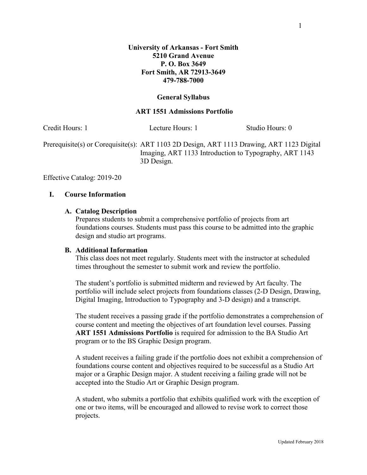#### **General Syllabus**

### **ART 1551 Admissions Portfolio**

| Credit Hours: 1 | Lecture Hours: 1                                                                                                                                                  | Studio Hours: 0 |
|-----------------|-------------------------------------------------------------------------------------------------------------------------------------------------------------------|-----------------|
|                 | Prerequisite(s) or Corequisite(s): ART 1103 2D Design, ART 1113 Drawing, ART 1123 Digital<br>Imaging, ART 1133 Introduction to Typography, ART 1143<br>3D Design. |                 |

Effective Catalog: 2019-20

### **I. Course Information**

### **A. Catalog Description**

Prepares students to submit a comprehensive portfolio of projects from art foundations courses. Students must pass this course to be admitted into the graphic design and studio art programs.

### **B. Additional Information**

This class does not meet regularly. Students meet with the instructor at scheduled times throughout the semester to submit work and review the portfolio.

The student's portfolio is submitted midterm and reviewed by Art faculty. The portfolio will include select projects from foundations classes (2-D Design, Drawing, Digital Imaging, Introduction to Typography and 3-D design) and a transcript.

The student receives a passing grade if the portfolio demonstrates a comprehension of course content and meeting the objectives of art foundation level courses. Passing **ART 1551 Admissions Portfolio** is required for admission to the BA Studio Art program or to the BS Graphic Design program.

A student receives a failing grade if the portfolio does not exhibit a comprehension of foundations course content and objectives required to be successful as a Studio Art major or a Graphic Design major. A student receiving a failing grade will not be accepted into the Studio Art or Graphic Design program.

A student, who submits a portfolio that exhibits qualified work with the exception of one or two items, will be encouraged and allowed to revise work to correct those projects.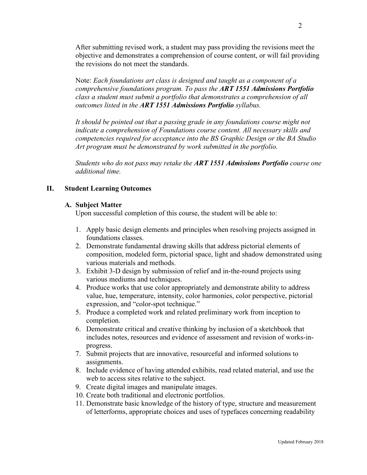After submitting revised work, a student may pass providing the revisions meet the objective and demonstrates a comprehension of course content, or will fail providing the revisions do not meet the standards.

Note: *Each foundations art class is designed and taught as a component of a comprehensive foundations program. To pass the ART 1551 Admissions Portfolio class a student must submit a portfolio that demonstrates a comprehension of all outcomes listed in the ART 1551 Admissions Portfolio syllabus.*

It should be pointed out that a passing grade in any foundations course might not *indicate a comprehension of Foundations course content. All necessary skills and competencies required for acceptance into the BS Graphic Design or the BA Studio Art program must be demonstrated by work submitted in the portfolio.*

*Students who do not pass may retake the ART 1551 Admissions Portfolio course one additional time.*

# **II. Student Learning Outcomes**

## **A. Subject Matter**

Upon successful completion of this course, the student will be able to:

- 1. Apply basic design elements and principles when resolving projects assigned in foundations classes.
- 2. Demonstrate fundamental drawing skills that address pictorial elements of composition, modeled form, pictorial space, light and shadow demonstrated using various materials and methods.
- 3. Exhibit 3-D design by submission of relief and in-the-round projects using various mediums and techniques.
- 4. Produce works that use color appropriately and demonstrate ability to address value, hue, temperature, intensity, color harmonies, color perspective, pictorial expression, and "color-spot technique."
- 5. Produce a completed work and related preliminary work from inception to completion.
- 6. Demonstrate critical and creative thinking by inclusion of a sketchbook that includes notes, resources and evidence of assessment and revision of works-inprogress.
- 7. Submit projects that are innovative, resourceful and informed solutions to assignments.
- 8. Include evidence of having attended exhibits, read related material, and use the web to access sites relative to the subject.
- 9. Create digital images and manipulate images.
- 10. Create both traditional and electronic portfolios.
- 11. Demonstrate basic knowledge of the history of type, structure and measurement of letterforms, appropriate choices and uses of typefaces concerning readability